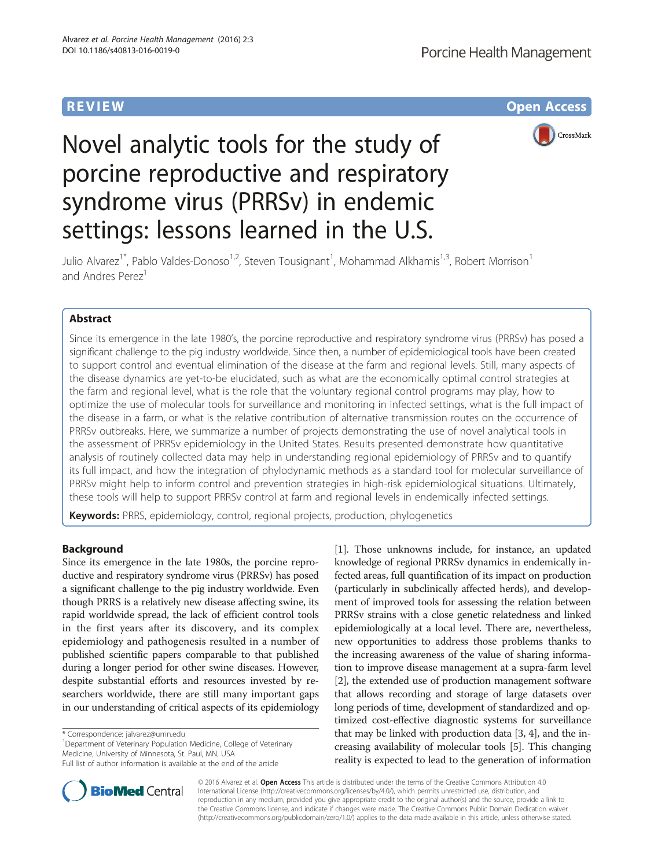**REVIEW CONSTRUCTION CONSTRUCTION CONSTRUCTS** 



# Novel analytic tools for the study of porcine reproductive and respiratory syndrome virus (PRRSv) in endemic settings: lessons learned in the U.S.

Julio Alvarez<sup>1\*</sup>, Pablo Valdes-Donoso<sup>1,2</sup>, Steven Tousignant<sup>1</sup>, Mohammad Alkhamis<sup>1,3</sup>, Robert Morrison<sup>1</sup> and Andres Perez<sup>1</sup>

# Abstract

Since its emergence in the late 1980's, the porcine reproductive and respiratory syndrome virus (PRRSv) has posed a significant challenge to the pig industry worldwide. Since then, a number of epidemiological tools have been created to support control and eventual elimination of the disease at the farm and regional levels. Still, many aspects of the disease dynamics are yet-to-be elucidated, such as what are the economically optimal control strategies at the farm and regional level, what is the role that the voluntary regional control programs may play, how to optimize the use of molecular tools for surveillance and monitoring in infected settings, what is the full impact of the disease in a farm, or what is the relative contribution of alternative transmission routes on the occurrence of PRRSv outbreaks. Here, we summarize a number of projects demonstrating the use of novel analytical tools in the assessment of PRRSv epidemiology in the United States. Results presented demonstrate how quantitative analysis of routinely collected data may help in understanding regional epidemiology of PRRSv and to quantify its full impact, and how the integration of phylodynamic methods as a standard tool for molecular surveillance of PRRSv might help to inform control and prevention strategies in high-risk epidemiological situations. Ultimately, these tools will help to support PRRSv control at farm and regional levels in endemically infected settings.

Keywords: PRRS, epidemiology, control, regional projects, production, phylogenetics

# Background

Since its emergence in the late 1980s, the porcine reproductive and respiratory syndrome virus (PRRSv) has posed a significant challenge to the pig industry worldwide. Even though PRRS is a relatively new disease affecting swine, its rapid worldwide spread, the lack of efficient control tools in the first years after its discovery, and its complex epidemiology and pathogenesis resulted in a number of published scientific papers comparable to that published during a longer period for other swine diseases. However, despite substantial efforts and resources invested by researchers worldwide, there are still many important gaps in our understanding of critical aspects of its epidemiology

<sup>1</sup> Department of Veterinary Population Medicine, College of Veterinary Medicine, University of Minnesota, St. Paul, MN, USA

Full list of author information is available at the end of the article



**BioMed Central** 

© 2016 Alvarez et al. Open Access This article is distributed under the terms of the Creative Commons Attribution 4.0 International License [\(http://creativecommons.org/licenses/by/4.0/](http://creativecommons.org/licenses/by/4.0/)), which permits unrestricted use, distribution, and reproduction in any medium, provided you give appropriate credit to the original author(s) and the source, provide a link to the Creative Commons license, and indicate if changes were made. The Creative Commons Public Domain Dedication waiver [\(http://creativecommons.org/publicdomain/zero/1.0/](http://creativecommons.org/publicdomain/zero/1.0/)) applies to the data made available in this article, unless otherwise stated.

<sup>\*</sup> Correspondence: [jalvarez@umn.edu](mailto:jalvarez@umn.edu) <sup>1</sup>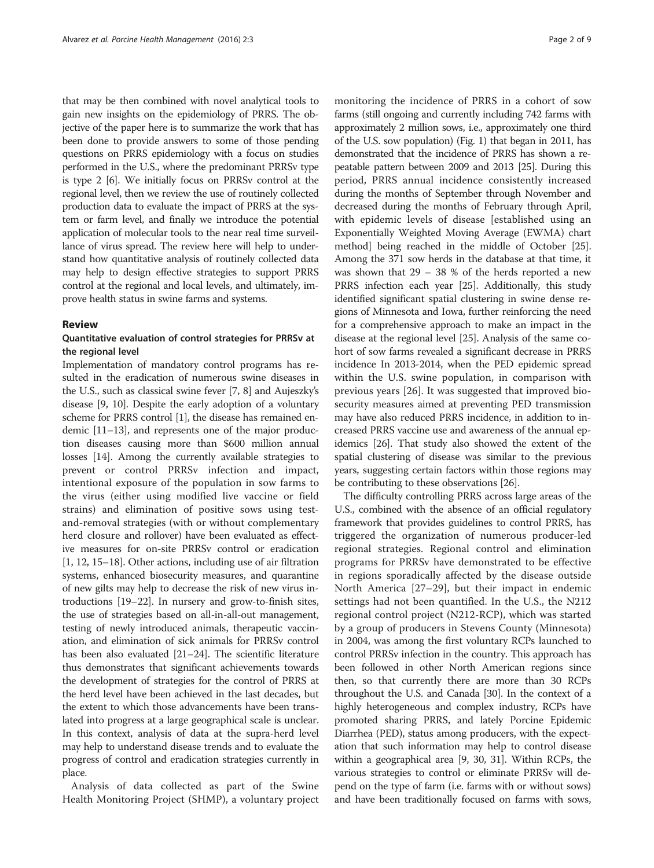that may be then combined with novel analytical tools to gain new insights on the epidemiology of PRRS. The objective of the paper here is to summarize the work that has been done to provide answers to some of those pending questions on PRRS epidemiology with a focus on studies performed in the U.S., where the predominant PRRSv type is type 2 [\[6](#page-6-0)]. We initially focus on PRRSv control at the regional level, then we review the use of routinely collected production data to evaluate the impact of PRRS at the system or farm level, and finally we introduce the potential application of molecular tools to the near real time surveillance of virus spread. The review here will help to understand how quantitative analysis of routinely collected data may help to design effective strategies to support PRRS control at the regional and local levels, and ultimately, improve health status in swine farms and systems.

# Review

# Quantitative evaluation of control strategies for PRRSv at the regional level

Implementation of mandatory control programs has resulted in the eradication of numerous swine diseases in the U.S., such as classical swine fever [[7](#page-6-0), [8](#page-6-0)] and Aujeszky's disease [[9](#page-6-0), [10\]](#page-6-0). Despite the early adoption of a voluntary scheme for PRRS control [[1\]](#page-6-0), the disease has remained endemic [[11](#page-6-0)–[13\]](#page-7-0), and represents one of the major production diseases causing more than \$600 million annual losses [[14](#page-7-0)]. Among the currently available strategies to prevent or control PRRSv infection and impact, intentional exposure of the population in sow farms to the virus (either using modified live vaccine or field strains) and elimination of positive sows using testand-removal strategies (with or without complementary herd closure and rollover) have been evaluated as effective measures for on-site PRRSv control or eradication [[1, 12,](#page-6-0) [15](#page-7-0)–[18\]](#page-7-0). Other actions, including use of air filtration systems, enhanced biosecurity measures, and quarantine of new gilts may help to decrease the risk of new virus introductions [[19](#page-7-0)–[22\]](#page-7-0). In nursery and grow-to-finish sites, the use of strategies based on all-in-all-out management, testing of newly introduced animals, therapeutic vaccination, and elimination of sick animals for PRRSv control has been also evaluated [\[21](#page-7-0)–[24](#page-7-0)]. The scientific literature thus demonstrates that significant achievements towards the development of strategies for the control of PRRS at the herd level have been achieved in the last decades, but the extent to which those advancements have been translated into progress at a large geographical scale is unclear. In this context, analysis of data at the supra-herd level may help to understand disease trends and to evaluate the progress of control and eradication strategies currently in place.

Analysis of data collected as part of the Swine Health Monitoring Project (SHMP), a voluntary project

monitoring the incidence of PRRS in a cohort of sow farms (still ongoing and currently including 742 farms with approximately 2 million sows, i.e., approximately one third of the U.S. sow population) (Fig. [1](#page-2-0)) that began in 2011, has demonstrated that the incidence of PRRS has shown a repeatable pattern between 2009 and 2013 [[25](#page-7-0)]. During this period, PRRS annual incidence consistently increased during the months of September through November and decreased during the months of February through April, with epidemic levels of disease [established using an Exponentially Weighted Moving Average (EWMA) chart method] being reached in the middle of October [[25](#page-7-0)]. Among the 371 sow herds in the database at that time, it was shown that 29 – 38 % of the herds reported a new PRRS infection each year [\[25\]](#page-7-0). Additionally, this study identified significant spatial clustering in swine dense regions of Minnesota and Iowa, further reinforcing the need for a comprehensive approach to make an impact in the disease at the regional level [\[25](#page-7-0)]. Analysis of the same cohort of sow farms revealed a significant decrease in PRRS incidence In 2013-2014, when the PED epidemic spread within the U.S. swine population, in comparison with previous years [\[26](#page-7-0)]. It was suggested that improved biosecurity measures aimed at preventing PED transmission may have also reduced PRRS incidence, in addition to increased PRRS vaccine use and awareness of the annual epidemics [[26](#page-7-0)]. That study also showed the extent of the spatial clustering of disease was similar to the previous years, suggesting certain factors within those regions may be contributing to these observations [[26](#page-7-0)].

The difficulty controlling PRRS across large areas of the U.S., combined with the absence of an official regulatory framework that provides guidelines to control PRRS, has triggered the organization of numerous producer-led regional strategies. Regional control and elimination programs for PRRSv have demonstrated to be effective in regions sporadically affected by the disease outside North America [[27](#page-7-0)–[29](#page-7-0)], but their impact in endemic settings had not been quantified. In the U.S., the N212 regional control project (N212-RCP), which was started by a group of producers in Stevens County (Minnesota) in 2004, was among the first voluntary RCPs launched to control PRRSv infection in the country. This approach has been followed in other North American regions since then, so that currently there are more than 30 RCPs throughout the U.S. and Canada [[30](#page-7-0)]. In the context of a highly heterogeneous and complex industry, RCPs have promoted sharing PRRS, and lately Porcine Epidemic Diarrhea (PED), status among producers, with the expectation that such information may help to control disease within a geographical area [\[9](#page-6-0), [30, 31\]](#page-7-0). Within RCPs, the various strategies to control or eliminate PRRSv will depend on the type of farm (i.e. farms with or without sows) and have been traditionally focused on farms with sows,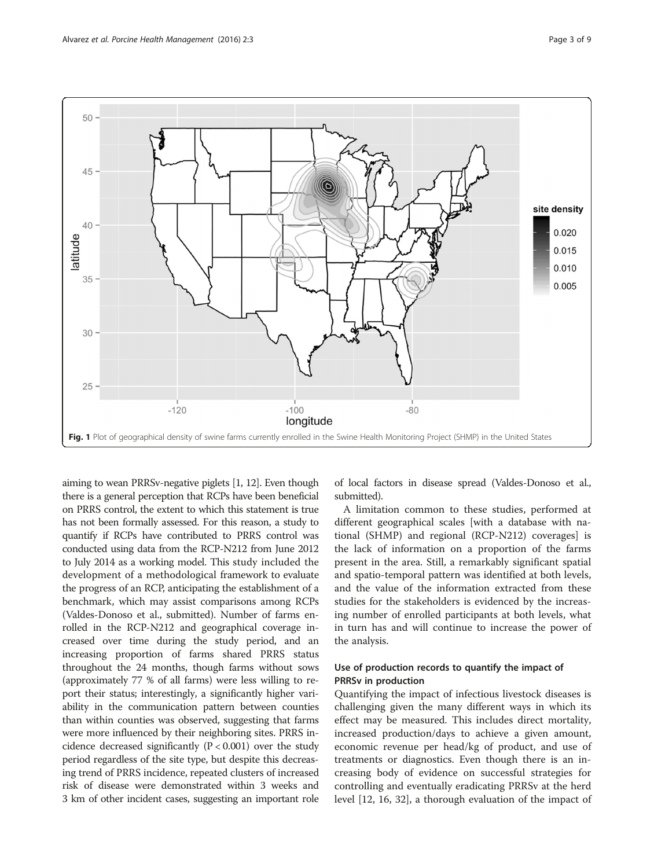<span id="page-2-0"></span>

aiming to wean PRRSv-negative piglets [[1](#page-6-0), [12](#page-6-0)]. Even though there is a general perception that RCPs have been beneficial on PRRS control, the extent to which this statement is true has not been formally assessed. For this reason, a study to quantify if RCPs have contributed to PRRS control was conducted using data from the RCP-N212 from June 2012 to July 2014 as a working model. This study included the development of a methodological framework to evaluate the progress of an RCP, anticipating the establishment of a benchmark, which may assist comparisons among RCPs (Valdes-Donoso et al., submitted). Number of farms enrolled in the RCP-N212 and geographical coverage increased over time during the study period, and an increasing proportion of farms shared PRRS status throughout the 24 months, though farms without sows (approximately 77 % of all farms) were less willing to report their status; interestingly, a significantly higher variability in the communication pattern between counties than within counties was observed, suggesting that farms were more influenced by their neighboring sites. PRRS incidence decreased significantly  $(P < 0.001)$  over the study period regardless of the site type, but despite this decreasing trend of PRRS incidence, repeated clusters of increased risk of disease were demonstrated within 3 weeks and 3 km of other incident cases, suggesting an important role

of local factors in disease spread (Valdes-Donoso et al., submitted).

A limitation common to these studies, performed at different geographical scales [with a database with national (SHMP) and regional (RCP-N212) coverages] is the lack of information on a proportion of the farms present in the area. Still, a remarkably significant spatial and spatio-temporal pattern was identified at both levels, and the value of the information extracted from these studies for the stakeholders is evidenced by the increasing number of enrolled participants at both levels, what in turn has and will continue to increase the power of the analysis.

# Use of production records to quantify the impact of PRRSv in production

Quantifying the impact of infectious livestock diseases is challenging given the many different ways in which its effect may be measured. This includes direct mortality, increased production/days to achieve a given amount, economic revenue per head/kg of product, and use of treatments or diagnostics. Even though there is an increasing body of evidence on successful strategies for controlling and eventually eradicating PRRSv at the herd level [[12](#page-6-0), [16, 32\]](#page-7-0), a thorough evaluation of the impact of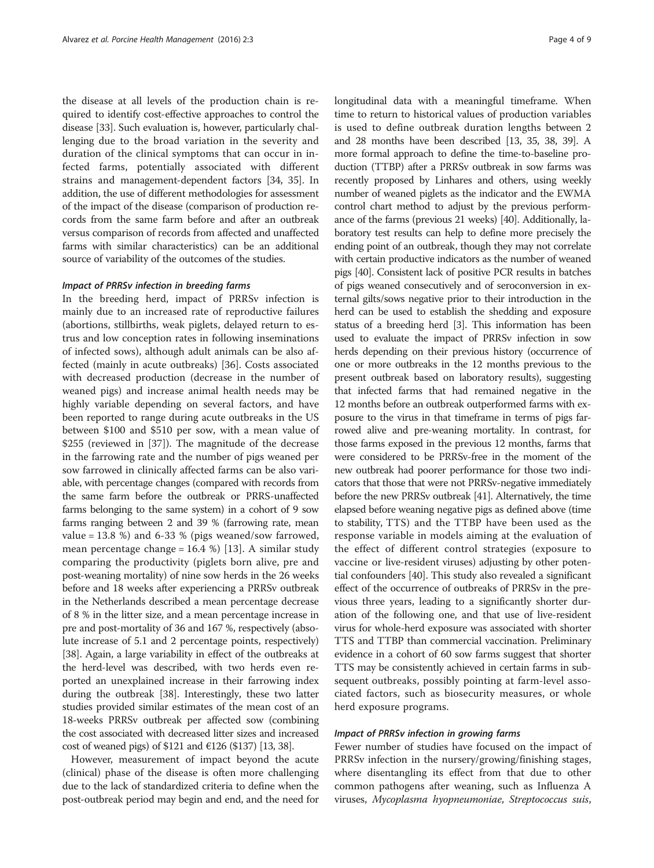the disease at all levels of the production chain is required to identify cost-effective approaches to control the disease [\[33](#page-7-0)]. Such evaluation is, however, particularly challenging due to the broad variation in the severity and duration of the clinical symptoms that can occur in infected farms, potentially associated with different strains and management-dependent factors [\[34, 35](#page-7-0)]. In addition, the use of different methodologies for assessment of the impact of the disease (comparison of production records from the same farm before and after an outbreak versus comparison of records from affected and unaffected farms with similar characteristics) can be an additional source of variability of the outcomes of the studies.

# Impact of PRRSv infection in breeding farms

In the breeding herd, impact of PRRSv infection is mainly due to an increased rate of reproductive failures (abortions, stillbirths, weak piglets, delayed return to estrus and low conception rates in following inseminations of infected sows), although adult animals can be also affected (mainly in acute outbreaks) [[36\]](#page-7-0). Costs associated with decreased production (decrease in the number of weaned pigs) and increase animal health needs may be highly variable depending on several factors, and have been reported to range during acute outbreaks in the US between \$100 and \$510 per sow, with a mean value of \$255 (reviewed in [\[37\]](#page-7-0)). The magnitude of the decrease in the farrowing rate and the number of pigs weaned per sow farrowed in clinically affected farms can be also variable, with percentage changes (compared with records from the same farm before the outbreak or PRRS-unaffected farms belonging to the same system) in a cohort of 9 sow farms ranging between 2 and 39 % (farrowing rate, mean value = 13.8 %) and 6-33 % (pigs weaned/sow farrowed, mean percentage change =  $16.4$  %) [\[13](#page-7-0)]. A similar study comparing the productivity (piglets born alive, pre and post-weaning mortality) of nine sow herds in the 26 weeks before and 18 weeks after experiencing a PRRSv outbreak in the Netherlands described a mean percentage decrease of 8 % in the litter size, and a mean percentage increase in pre and post-mortality of 36 and 167 %, respectively (absolute increase of 5.1 and 2 percentage points, respectively) [[38](#page-7-0)]. Again, a large variability in effect of the outbreaks at the herd-level was described, with two herds even reported an unexplained increase in their farrowing index during the outbreak [\[38](#page-7-0)]. Interestingly, these two latter studies provided similar estimates of the mean cost of an 18-weeks PRRSv outbreak per affected sow (combining the cost associated with decreased litter sizes and increased cost of weaned pigs) of \$121 and €126 (\$137) [\[13, 38\]](#page-7-0).

However, measurement of impact beyond the acute (clinical) phase of the disease is often more challenging due to the lack of standardized criteria to define when the post-outbreak period may begin and end, and the need for longitudinal data with a meaningful timeframe. When time to return to historical values of production variables is used to define outbreak duration lengths between 2 and 28 months have been described [[13](#page-7-0), [35](#page-7-0), [38, 39\]](#page-7-0). A more formal approach to define the time-to-baseline production (TTBP) after a PRRSv outbreak in sow farms was recently proposed by Linhares and others, using weekly number of weaned piglets as the indicator and the EWMA control chart method to adjust by the previous performance of the farms (previous 21 weeks) [[40](#page-7-0)]. Additionally, laboratory test results can help to define more precisely the ending point of an outbreak, though they may not correlate with certain productive indicators as the number of weaned pigs [\[40\]](#page-7-0). Consistent lack of positive PCR results in batches of pigs weaned consecutively and of seroconversion in external gilts/sows negative prior to their introduction in the herd can be used to establish the shedding and exposure status of a breeding herd [[3\]](#page-6-0). This information has been used to evaluate the impact of PRRSv infection in sow herds depending on their previous history (occurrence of one or more outbreaks in the 12 months previous to the present outbreak based on laboratory results), suggesting that infected farms that had remained negative in the 12 months before an outbreak outperformed farms with exposure to the virus in that timeframe in terms of pigs farrowed alive and pre-weaning mortality. In contrast, for those farms exposed in the previous 12 months, farms that were considered to be PRRSv-free in the moment of the new outbreak had poorer performance for those two indicators that those that were not PRRSv-negative immediately before the new PRRSv outbreak [\[41\]](#page-7-0). Alternatively, the time elapsed before weaning negative pigs as defined above (time to stability, TTS) and the TTBP have been used as the response variable in models aiming at the evaluation of the effect of different control strategies (exposure to vaccine or live-resident viruses) adjusting by other potential confounders [\[40\]](#page-7-0). This study also revealed a significant effect of the occurrence of outbreaks of PRRSv in the previous three years, leading to a significantly shorter duration of the following one, and that use of live-resident virus for whole-herd exposure was associated with shorter TTS and TTBP than commercial vaccination. Preliminary evidence in a cohort of 60 sow farms suggest that shorter TTS may be consistently achieved in certain farms in subsequent outbreaks, possibly pointing at farm-level associated factors, such as biosecurity measures, or whole herd exposure programs.

# Impact of PRRSv infection in growing farms

Fewer number of studies have focused on the impact of PRRSv infection in the nursery/growing/finishing stages, where disentangling its effect from that due to other common pathogens after weaning, such as Influenza A viruses, Mycoplasma hyopneumoniae, Streptococcus suis,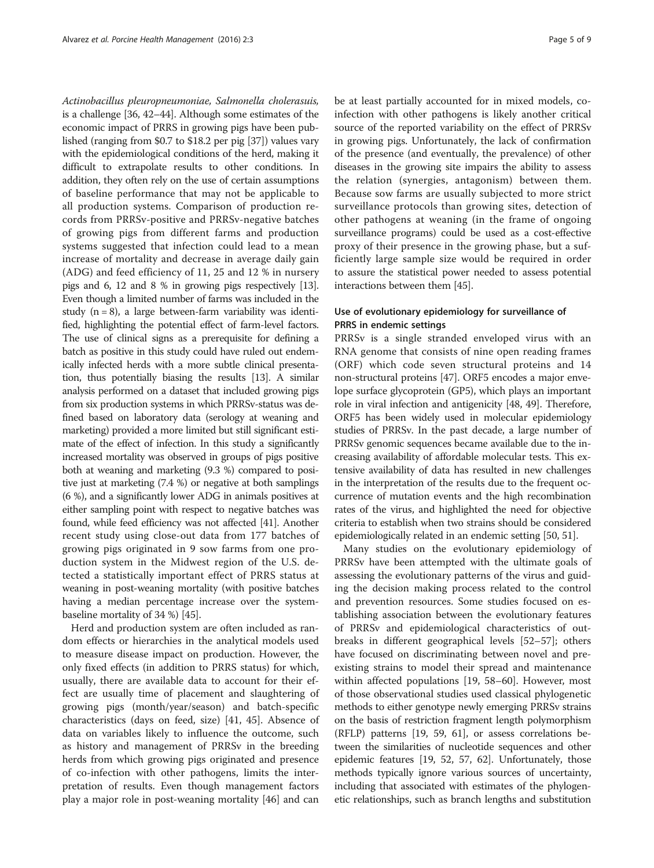Actinobacillus pleuropneumoniae, Salmonella cholerasuis, is a challenge [[36](#page-7-0), [42](#page-7-0)–[44](#page-7-0)]. Although some estimates of the economic impact of PRRS in growing pigs have been published (ranging from \$0.7 to \$18.2 per pig [\[37\]](#page-7-0)) values vary with the epidemiological conditions of the herd, making it difficult to extrapolate results to other conditions. In addition, they often rely on the use of certain assumptions of baseline performance that may not be applicable to all production systems. Comparison of production records from PRRSv-positive and PRRSv-negative batches of growing pigs from different farms and production systems suggested that infection could lead to a mean increase of mortality and decrease in average daily gain (ADG) and feed efficiency of 11, 25 and 12 % in nursery pigs and 6, 12 and 8 % in growing pigs respectively [\[13](#page-7-0)]. Even though a limited number of farms was included in the study  $(n = 8)$ , a large between-farm variability was identified, highlighting the potential effect of farm-level factors. The use of clinical signs as a prerequisite for defining a batch as positive in this study could have ruled out endemically infected herds with a more subtle clinical presentation, thus potentially biasing the results [\[13](#page-7-0)]. A similar analysis performed on a dataset that included growing pigs from six production systems in which PRRSv-status was defined based on laboratory data (serology at weaning and marketing) provided a more limited but still significant estimate of the effect of infection. In this study a significantly increased mortality was observed in groups of pigs positive both at weaning and marketing (9.3 %) compared to positive just at marketing (7.4 %) or negative at both samplings (6 %), and a significantly lower ADG in animals positives at either sampling point with respect to negative batches was found, while feed efficiency was not affected [\[41](#page-7-0)]. Another recent study using close-out data from 177 batches of growing pigs originated in 9 sow farms from one production system in the Midwest region of the U.S. detected a statistically important effect of PRRS status at weaning in post-weaning mortality (with positive batches having a median percentage increase over the systembaseline mortality of 34 %) [\[45](#page-7-0)].

Herd and production system are often included as random effects or hierarchies in the analytical models used to measure disease impact on production. However, the only fixed effects (in addition to PRRS status) for which, usually, there are available data to account for their effect are usually time of placement and slaughtering of growing pigs (month/year/season) and batch-specific characteristics (days on feed, size) [\[41, 45](#page-7-0)]. Absence of data on variables likely to influence the outcome, such as history and management of PRRSv in the breeding herds from which growing pigs originated and presence of co-infection with other pathogens, limits the interpretation of results. Even though management factors play a major role in post-weaning mortality [\[46\]](#page-7-0) and can be at least partially accounted for in mixed models, coinfection with other pathogens is likely another critical source of the reported variability on the effect of PRRSv in growing pigs. Unfortunately, the lack of confirmation of the presence (and eventually, the prevalence) of other diseases in the growing site impairs the ability to assess the relation (synergies, antagonism) between them. Because sow farms are usually subjected to more strict surveillance protocols than growing sites, detection of other pathogens at weaning (in the frame of ongoing surveillance programs) could be used as a cost-effective proxy of their presence in the growing phase, but a sufficiently large sample size would be required in order to assure the statistical power needed to assess potential interactions between them [\[45\]](#page-7-0).

# Use of evolutionary epidemiology for surveillance of PRRS in endemic settings

PRRSv is a single stranded enveloped virus with an RNA genome that consists of nine open reading frames (ORF) which code seven structural proteins and 14 non-structural proteins [\[47\]](#page-7-0). ORF5 encodes a major envelope surface glycoprotein (GP5), which plays an important role in viral infection and antigenicity [[48, 49\]](#page-7-0). Therefore, ORF5 has been widely used in molecular epidemiology studies of PRRSv. In the past decade, a large number of PRRSv genomic sequences became available due to the increasing availability of affordable molecular tests. This extensive availability of data has resulted in new challenges in the interpretation of the results due to the frequent occurrence of mutation events and the high recombination rates of the virus, and highlighted the need for objective criteria to establish when two strains should be considered epidemiologically related in an endemic setting [[50](#page-7-0), [51\]](#page-8-0).

Many studies on the evolutionary epidemiology of PRRSv have been attempted with the ultimate goals of assessing the evolutionary patterns of the virus and guiding the decision making process related to the control and prevention resources. Some studies focused on establishing association between the evolutionary features of PRRSv and epidemiological characteristics of outbreaks in different geographical levels [[52](#page-8-0)–[57\]](#page-8-0); others have focused on discriminating between novel and preexisting strains to model their spread and maintenance within affected populations [\[19](#page-7-0), [58](#page-8-0)–[60\]](#page-8-0). However, most of those observational studies used classical phylogenetic methods to either genotype newly emerging PRRSv strains on the basis of restriction fragment length polymorphism (RFLP) patterns [\[19,](#page-7-0) [59, 61](#page-8-0)], or assess correlations between the similarities of nucleotide sequences and other epidemic features [\[19,](#page-7-0) [52](#page-8-0), [57, 62](#page-8-0)]. Unfortunately, those methods typically ignore various sources of uncertainty, including that associated with estimates of the phylogenetic relationships, such as branch lengths and substitution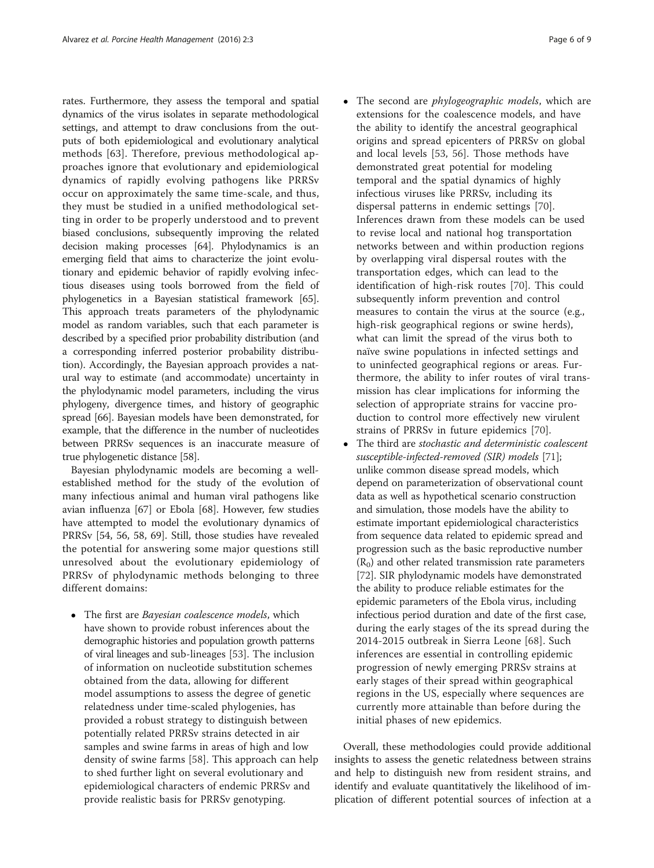rates. Furthermore, they assess the temporal and spatial dynamics of the virus isolates in separate methodological settings, and attempt to draw conclusions from the outputs of both epidemiological and evolutionary analytical methods [\[63](#page-8-0)]. Therefore, previous methodological approaches ignore that evolutionary and epidemiological dynamics of rapidly evolving pathogens like PRRSv occur on approximately the same time-scale, and thus, they must be studied in a unified methodological setting in order to be properly understood and to prevent biased conclusions, subsequently improving the related decision making processes [[64](#page-8-0)]. Phylodynamics is an emerging field that aims to characterize the joint evolutionary and epidemic behavior of rapidly evolving infectious diseases using tools borrowed from the field of phylogenetics in a Bayesian statistical framework [[65](#page-8-0)]. This approach treats parameters of the phylodynamic model as random variables, such that each parameter is described by a specified prior probability distribution (and a corresponding inferred posterior probability distribution). Accordingly, the Bayesian approach provides a natural way to estimate (and accommodate) uncertainty in the phylodynamic model parameters, including the virus phylogeny, divergence times, and history of geographic spread [[66\]](#page-8-0). Bayesian models have been demonstrated, for example, that the difference in the number of nucleotides between PRRSv sequences is an inaccurate measure of true phylogenetic distance [[58](#page-8-0)].

Bayesian phylodynamic models are becoming a wellestablished method for the study of the evolution of many infectious animal and human viral pathogens like avian influenza [[67](#page-8-0)] or Ebola [\[68\]](#page-8-0). However, few studies have attempted to model the evolutionary dynamics of PRRSv [[54](#page-8-0), [56, 58, 69](#page-8-0)]. Still, those studies have revealed the potential for answering some major questions still unresolved about the evolutionary epidemiology of PRRSv of phylodynamic methods belonging to three different domains:

• The first are Bayesian coalescence models, which have shown to provide robust inferences about the demographic histories and population growth patterns of viral lineages and sub-lineages [[53\]](#page-8-0). The inclusion of information on nucleotide substitution schemes obtained from the data, allowing for different model assumptions to assess the degree of genetic relatedness under time-scaled phylogenies, has provided a robust strategy to distinguish between potentially related PRRSv strains detected in air samples and swine farms in areas of high and low density of swine farms [[58\]](#page-8-0). This approach can help to shed further light on several evolutionary and epidemiological characters of endemic PRRSv and provide realistic basis for PRRSv genotyping.

- The second are *phylogeographic models*, which are extensions for the coalescence models, and have the ability to identify the ancestral geographical origins and spread epicenters of PRRSv on global and local levels [\[53,](#page-8-0) [56\]](#page-8-0). Those methods have demonstrated great potential for modeling temporal and the spatial dynamics of highly infectious viruses like PRRSv, including its dispersal patterns in endemic settings [\[70](#page-8-0)]. Inferences drawn from these models can be used to revise local and national hog transportation networks between and within production regions by overlapping viral dispersal routes with the transportation edges, which can lead to the identification of high-risk routes [[70\]](#page-8-0). This could subsequently inform prevention and control measures to contain the virus at the source (e.g., high-risk geographical regions or swine herds), what can limit the spread of the virus both to naïve swine populations in infected settings and to uninfected geographical regions or areas. Furthermore, the ability to infer routes of viral transmission has clear implications for informing the selection of appropriate strains for vaccine production to control more effectively new virulent strains of PRRSv in future epidemics [[70\]](#page-8-0).
- The third are stochastic and deterministic coalescent susceptible-infected-removed (SIR) models [[71\]](#page-8-0); unlike common disease spread models, which depend on parameterization of observational count data as well as hypothetical scenario construction and simulation, those models have the ability to estimate important epidemiological characteristics from sequence data related to epidemic spread and progression such as the basic reproductive number  $(R<sub>0</sub>)$  and other related transmission rate parameters [[72](#page-8-0)]. SIR phylodynamic models have demonstrated the ability to produce reliable estimates for the epidemic parameters of the Ebola virus, including infectious period duration and date of the first case, during the early stages of the its spread during the 2014-2015 outbreak in Sierra Leone [[68](#page-8-0)]. Such inferences are essential in controlling epidemic progression of newly emerging PRRSv strains at early stages of their spread within geographical regions in the US, especially where sequences are currently more attainable than before during the initial phases of new epidemics.

Overall, these methodologies could provide additional insights to assess the genetic relatedness between strains and help to distinguish new from resident strains, and identify and evaluate quantitatively the likelihood of implication of different potential sources of infection at a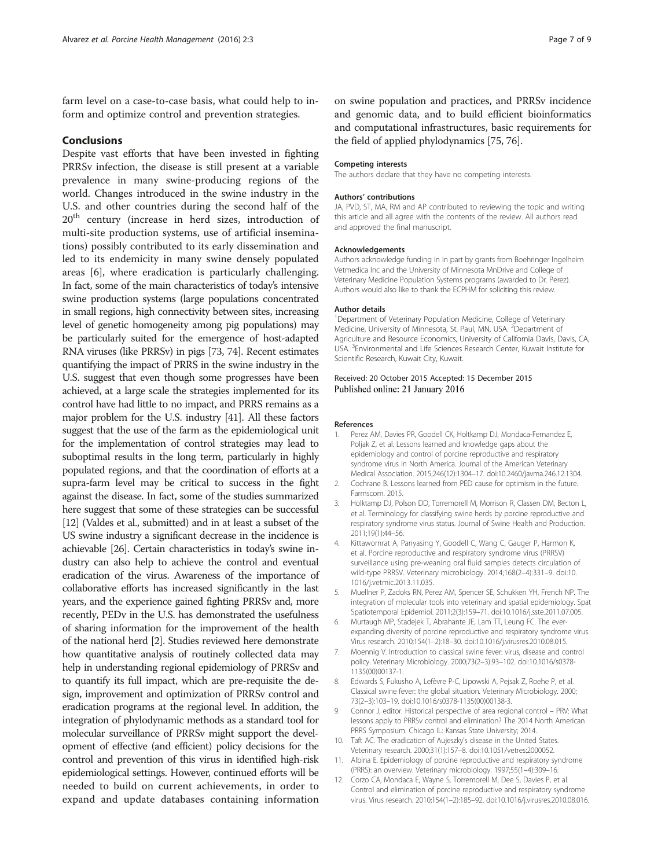<span id="page-6-0"></span>farm level on a case-to-case basis, what could help to inform and optimize control and prevention strategies.

### Conclusions

Despite vast efforts that have been invested in fighting PRRSv infection, the disease is still present at a variable prevalence in many swine-producing regions of the world. Changes introduced in the swine industry in the U.S. and other countries during the second half of the 20th century (increase in herd sizes, introduction of multi-site production systems, use of artificial inseminations) possibly contributed to its early dissemination and led to its endemicity in many swine densely populated areas [6], where eradication is particularly challenging. In fact, some of the main characteristics of today's intensive swine production systems (large populations concentrated in small regions, high connectivity between sites, increasing level of genetic homogeneity among pig populations) may be particularly suited for the emergence of host-adapted RNA viruses (like PRRSv) in pigs [[73](#page-8-0), [74\]](#page-8-0). Recent estimates quantifying the impact of PRRS in the swine industry in the U.S. suggest that even though some progresses have been achieved, at a large scale the strategies implemented for its control have had little to no impact, and PRRS remains as a major problem for the U.S. industry [[41](#page-7-0)]. All these factors suggest that the use of the farm as the epidemiological unit for the implementation of control strategies may lead to suboptimal results in the long term, particularly in highly populated regions, and that the coordination of efforts at a supra-farm level may be critical to success in the fight against the disease. In fact, some of the studies summarized here suggest that some of these strategies can be successful [12] (Valdes et al., submitted) and in at least a subset of the US swine industry a significant decrease in the incidence is achievable [[26\]](#page-7-0). Certain characteristics in today's swine industry can also help to achieve the control and eventual eradication of the virus. Awareness of the importance of collaborative efforts has increased significantly in the last years, and the experience gained fighting PRRSv and, more recently, PEDv in the U.S. has demonstrated the usefulness of sharing information for the improvement of the health of the national herd [2]. Studies reviewed here demonstrate how quantitative analysis of routinely collected data may help in understanding regional epidemiology of PRRSv and to quantify its full impact, which are pre-requisite the design, improvement and optimization of PRRSv control and eradication programs at the regional level. In addition, the integration of phylodynamic methods as a standard tool for molecular surveillance of PRRSv might support the development of effective (and efficient) policy decisions for the control and prevention of this virus in identified high-risk epidemiological settings. However, continued efforts will be needed to build on current achievements, in order to expand and update databases containing information

on swine population and practices, and PRRSv incidence and genomic data, and to build efficient bioinformatics and computational infrastructures, basic requirements for the field of applied phylodynamics [\[75, 76\]](#page-8-0).

#### Competing interests

The authors declare that they have no competing interests.

#### Authors' contributions

JA, PVD, ST, MA, RM and AP contributed to reviewing the topic and writing this article and all agree with the contents of the review. All authors read and approved the final manuscript.

#### Acknowledgements

Authors acknowledge funding in in part by grants from Boehringer Ingelheim Vetmedica Inc and the University of Minnesota MnDrive and College of Veterinary Medicine Population Systems programs (awarded to Dr. Perez). Authors would also like to thank the ECPHM for soliciting this review.

#### Author details

<sup>1</sup>Department of Veterinary Population Medicine, College of Veterinary Medicine, University of Minnesota, St. Paul, MN, USA. <sup>2</sup>Department of Agriculture and Resource Economics, University of California Davis, Davis, CA, USA. <sup>3</sup>Environmental and Life Sciences Research Center, Kuwait Institute for Scientific Research, Kuwait City, Kuwait.

# Received: 20 October 2015 Accepted: 15 December 2015 Published online: 21 January 2016

#### References

- 1. Perez AM, Davies PR, Goodell CK, Holtkamp DJ, Mondaca-Fernandez E, Poljak Z, et al. Lessons learned and knowledge gaps about the epidemiology and control of porcine reproductive and respiratory syndrome virus in North America. Journal of the American Veterinary Medical Association. 2015;246(12):1304–17. doi:[10.2460/javma.246.12.1304](http://dx.doi.org/10.2460/javma.246.12.1304).
- 2. Cochrane B. Lessons learned from PED cause for optimism in the future. Farmscom. 2015.
- Holktamp DJ, Polson DD, Torremorell M, Morrison R, Classen DM, Becton L, et al. Terminology for classifying swine herds by porcine reproductive and respiratory syndrome virus status. Journal of Swine Health and Production. 2011;19(1):44–56.
- 4. Kittawornrat A, Panyasing Y, Goodell C, Wang C, Gauger P, Harmon K, et al. Porcine reproductive and respiratory syndrome virus (PRRSV) surveillance using pre-weaning oral fluid samples detects circulation of wild-type PRRSV. Veterinary microbiology. 2014;168(2–4):331–9. doi[:10.](http://dx.doi.org/10.1016/j.vetmic.2013.11.035) [1016/j.vetmic.2013.11.035](http://dx.doi.org/10.1016/j.vetmic.2013.11.035).
- 5. Muellner P, Zadoks RN, Perez AM, Spencer SE, Schukken YH, French NP. The integration of molecular tools into veterinary and spatial epidemiology. Spat Spatiotemporal Epidemiol. 2011;2(3):159–71. doi:[10.1016/j.sste.2011.07.005.](http://dx.doi.org/10.1016/j.sste.2011.07.005)
- Murtaugh MP, Stadejek T, Abrahante JE, Lam TT, Leung FC. The everexpanding diversity of porcine reproductive and respiratory syndrome virus. Virus research. 2010;154(1–2):18–30. doi[:10.1016/j.virusres.2010.08.015.](http://dx.doi.org/10.1016/j.virusres.2010.08.015)
- 7. Moennig V. Introduction to classical swine fever: virus, disease and control policy. Veterinary Microbiology. 2000;73(2–3):93–102. doi[:10.1016/s0378-](http://dx.doi.org/10.1016/s0378-1135(00)00137-1) [1135\(00\)00137-1](http://dx.doi.org/10.1016/s0378-1135(00)00137-1).
- 8. Edwards S, Fukusho A, Lefèvre P-C, Lipowski A, Pejsak Z, Roehe P, et al. Classical swine fever: the global situation. Veterinary Microbiology. 2000; 73(2–3):103–19. doi[:10.1016/s0378-1135\(00\)00138-3](http://dx.doi.org/10.1016/s0378-1135(00)00138-3).
- Connor J, editor. Historical perspective of area regional control PRV: What lessons apply to PRRSv control and elimination? The 2014 North American PRRS Symposium. Chicago IL: Kansas State University; 2014.
- 10. Taft AC. The eradication of Aujeszky's disease in the United States. Veterinary research. 2000;31(1):157–8. doi:[10.1051/vetres:2000052.](http://dx.doi.org/10.1051/vetres:2000052)
- 11. Albina E. Epidemiology of porcine reproductive and respiratory syndrome (PRRS): an overview. Veterinary microbiology. 1997;55(1–4):309–16.
- 12. Corzo CA, Mondaca E, Wayne S, Torremorell M, Dee S, Davies P, et al. Control and elimination of porcine reproductive and respiratory syndrome virus. Virus research. 2010;154(1–2):185–92. doi[:10.1016/j.virusres.2010.08.016](http://dx.doi.org/10.1016/j.virusres.2010.08.016).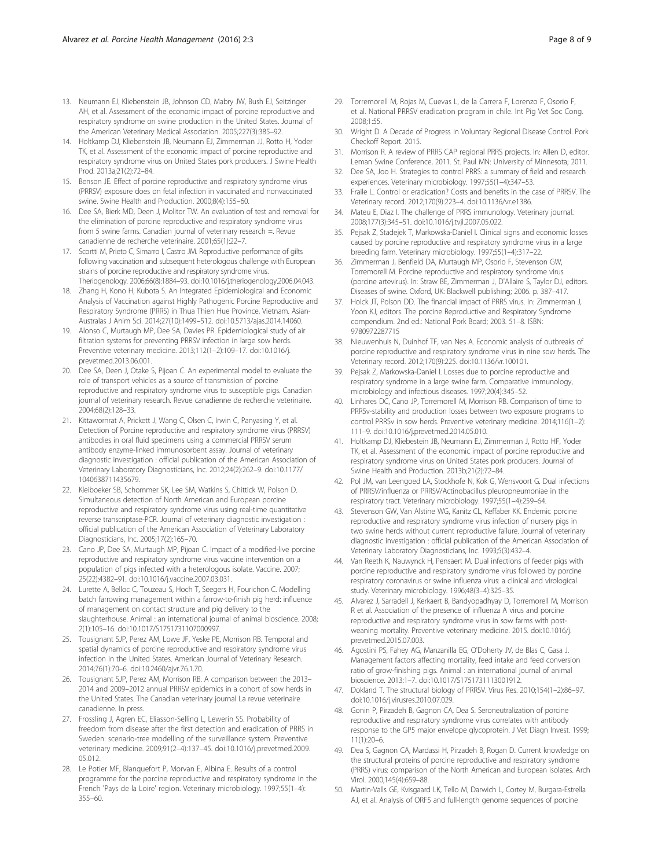- <span id="page-7-0"></span>13. Neumann EJ, Kliebenstein JB, Johnson CD, Mabry JW, Bush EJ, Seitzinger AH, et al. Assessment of the economic impact of porcine reproductive and respiratory syndrome on swine production in the United States. Journal of the American Veterinary Medical Association. 2005;227(3):385–92.
- 14. Holtkamp DJ, Kliebenstein JB, Neumann EJ, Zimmerman JJ, Rotto H, Yoder TK, et al. Assessment of the economic impact of porcine reproductive and respiratory syndrome virus on United States pork producers. J Swine Health Prod. 2013a;21(2):72–84.
- 15. Benson JE. Effect of porcine reproductive and respiratory syndrome virus (PRRSV) exposure does on fetal infection in vaccinated and nonvaccinated swine. Swine Health and Production. 2000;8(4):155–60.
- 16. Dee SA, Bierk MD, Deen J, Molitor TW. An evaluation of test and removal for the elimination of porcine reproductive and respiratory syndrome virus from 5 swine farms. Canadian journal of veterinary research =. Revue canadienne de recherche veterinaire. 2001;65(1):22–7.
- 17. Scortti M, Prieto C, Simarro I, Castro JM. Reproductive performance of gilts following vaccination and subsequent heterologous challenge with European strains of porcine reproductive and respiratory syndrome virus. Theriogenology. 2006;66(8):1884–93. doi:[10.1016/j.theriogenology.2006.04.043](http://dx.doi.org/10.1016/j.theriogenology.2006.04.043).
- 18. Zhang H, Kono H, Kubota S. An Integrated Epidemiological and Economic Analysis of Vaccination against Highly Pathogenic Porcine Reproductive and Respiratory Syndrome (PRRS) in Thua Thien Hue Province, Vietnam. Asian-Australas J Anim Sci. 2014;27(10):1499–512. doi:[10.5713/ajas.2014.14060](http://dx.doi.org/10.5713/ajas.2014.14060).
- 19. Alonso C, Murtaugh MP, Dee SA, Davies PR. Epidemiological study of air filtration systems for preventing PRRSV infection in large sow herds. Preventive veterinary medicine. 2013;112(1–2):109–17. doi:[10.1016/j.](http://dx.doi.org/10.1016/j.prevetmed.2013.06.001) [prevetmed.2013.06.001](http://dx.doi.org/10.1016/j.prevetmed.2013.06.001).
- 20. Dee SA, Deen J, Otake S, Pijoan C. An experimental model to evaluate the role of transport vehicles as a source of transmission of porcine reproductive and respiratory syndrome virus to susceptible pigs. Canadian journal of veterinary research. Revue canadienne de recherche veterinaire. 2004;68(2):128–33.
- 21. Kittawornrat A, Prickett J, Wang C, Olsen C, Irwin C, Panyasing Y, et al. Detection of Porcine reproductive and respiratory syndrome virus (PRRSV) antibodies in oral fluid specimens using a commercial PRRSV serum antibody enzyme-linked immunosorbent assay. Journal of veterinary diagnostic investigation : official publication of the American Association of Veterinary Laboratory Diagnosticians, Inc. 2012;24(2):262–9. doi:[10.1177/](http://dx.doi.org/10.1177/1040638711435679) [1040638711435679](http://dx.doi.org/10.1177/1040638711435679).
- 22. Kleiboeker SB, Schommer SK, Lee SM, Watkins S, Chittick W, Polson D. Simultaneous detection of North American and European porcine reproductive and respiratory syndrome virus using real-time quantitative reverse transcriptase-PCR. Journal of veterinary diagnostic investigation : official publication of the American Association of Veterinary Laboratory Diagnosticians, Inc. 2005;17(2):165–70.
- 23. Cano JP, Dee SA, Murtaugh MP, Pijoan C. Impact of a modified-live porcine reproductive and respiratory syndrome virus vaccine intervention on a population of pigs infected with a heterologous isolate. Vaccine. 2007; 25(22):4382–91. doi:[10.1016/j.vaccine.2007.03.031](http://dx.doi.org/10.1177/1040638711435679).
- 24. Lurette A, Belloc C, Touzeau S, Hoch T, Seegers H, Fourichon C. Modelling batch farrowing management within a farrow-to-finish pig herd: influence of management on contact structure and pig delivery to the slaughterhouse. Animal : an international journal of animal bioscience. 2008; 2(1):105–16. doi:[10.1017/S1751731107000997.](http://dx.doi.org/10.1017/S1751731107000997)
- 25. Tousignant SJP, Perez AM, Lowe JF, Yeske PE, Morrison RB. Temporal and spatial dynamics of porcine reproductive and respiratory syndrome virus infection in the United States. American Journal of Veterinary Research. 2014;76(1):70–6. doi[:10.2460/ajvr.76.1.70.](http://dx.doi.org/10.2460/ajvr.76.1.70)
- 26. Tousignant SJP, Perez AM, Morrison RB. A comparison between the 2013– 2014 and 2009–2012 annual PRRSV epidemics in a cohort of sow herds in the United States. The Canadian veterinary journal La revue veterinaire canadienne. In press.
- 27. Frossling J, Agren EC, Eliasson-Selling L, Lewerin SS. Probability of freedom from disease after the first detection and eradication of PRRS in Sweden: scenario-tree modelling of the surveillance system. Preventive veterinary medicine. 2009;91(2–4):137–45. doi[:10.1016/j.prevetmed.2009.](http://dx.doi.org/10.1016/j.prevetmed.2009.05.012) [05.012](http://dx.doi.org/10.1016/j.prevetmed.2009.05.012).
- 28. Le Potier MF, Blanquefort P, Morvan E, Albina E. Results of a control programme for the porcine reproductive and respiratory syndrome in the French 'Pays de la Loire' region. Veterinary microbiology. 1997;55(1–4): 355–60.
- 29. Torremorell M, Rojas M, Cuevas L, de la Carrera F, Lorenzo F, Osorio F, et al. National PRRSV eradication program in chile. Int Pig Vet Soc Cong. 2008;1:55.
- 30. Wright D. A Decade of Progress in Voluntary Regional Disease Control. Pork Checkoff Report. 2015.
- 31. Morrison R. A review of PRRS CAP regional PRRS projects. In: Allen D, editor. Leman Swine Conference, 2011. St. Paul MN: University of Minnesota; 2011.
- 32. Dee SA, Joo H. Strategies to control PRRS: a summary of field and research experiences. Veterinary microbiology. 1997;55(1–4):347–53.
- 33. Fraile L. Control or eradication? Costs and benefits in the case of PRRSV. The Veterinary record. 2012;170(9):223–4. doi[:10.1136/vr.e1386.](http://dx.doi.org/10.1016/j.virusres.2010.08.015)
- 34. Mateu E, Diaz I. The challenge of PRRS immunology. Veterinary journal. 2008;177(3):345–51. doi[:10.1016/j.tvjl.2007.05.022.](http://dx.doi.org/10.1016/j.tvjl.2007.05.022)
- 35. Pejsak Z, Stadejek T, Markowska-Daniel I. Clinical signs and economic losses caused by porcine reproductive and respiratory syndrome virus in a large breeding farm. Veterinary microbiology. 1997;55(1–4):317–22.
- 36. Zimmerman J, Benfield DA, Murtaugh MP, Osorio F, Stevenson GW, Torremorell M. Porcine reproductive and respiratory syndrome virus (porcine artevirus). In: Straw BE, Zimmerman J, D'Allaire S, Taylor DJ, editors. Diseases of swine. Oxford, UK: Blackwell publishing; 2006. p. 387–417.
- 37. Holck JT, Polson DD. The financial impact of PRRS virus. In: Zimmerman J, Yoon KJ, editors. The porcine Reproductive and Respiratory Syndrome compendium. 2nd ed.: National Pork Board; 2003. 51–8. ISBN: 9780972287715
- 38. Nieuwenhuis N, Duinhof TF, van Nes A. Economic analysis of outbreaks of porcine reproductive and respiratory syndrome virus in nine sow herds. The Veterinary record. 2012;170(9):225. doi[:10.1136/vr.100101](http://dx.doi.org/10.1136/vr.100101).
- 39. Pejsak Z, Markowska-Daniel I. Losses due to porcine reproductive and respiratory syndrome in a large swine farm. Comparative immunology, microbiology and infectious diseases. 1997;20(4):345–52.
- 40. Linhares DC, Cano JP, Torremorell M, Morrison RB. Comparison of time to PRRSv-stability and production losses between two exposure programs to control PRRSv in sow herds. Preventive veterinary medicine. 2014;116(1–2): 111–9. doi:[10.1016/j.prevetmed.2014.05.010.](http://dx.doi.org/10.1016/j.prevetmed.2014.05.010)
- 41. Holtkamp DJ, Kliebestein JB, Neumann EJ, Zimmerman J, Rotto HF, Yoder TK, et al. Assessment of the economic impact of porcine reproductive and respiratory syndrome virus on United States pork producers. Journal of Swine Health and Production. 2013b;21(2):72–84.
- 42. Pol JM, van Leengoed LA, Stockhofe N, Kok G, Wensvoort G. Dual infections of PRRSV/influenza or PRRSV/Actinobacillus pleuropneumoniae in the respiratory tract. Veterinary microbiology. 1997;55(1–4):259–64.
- 43. Stevenson GW, Van Alstine WG, Kanitz CL, Keffaber KK. Endemic porcine reproductive and respiratory syndrome virus infection of nursery pigs in two swine herds without current reproductive failure. Journal of veterinary diagnostic investigation : official publication of the American Association of Veterinary Laboratory Diagnosticians, Inc. 1993;5(3):432–4.
- 44. Van Reeth K, Nauwynck H, Pensaert M. Dual infections of feeder pigs with porcine reproductive and respiratory syndrome virus followed by porcine respiratory coronavirus or swine influenza virus: a clinical and virological study. Veterinary microbiology. 1996;48(3–4):325–35.
- 45. Alvarez J, Sarradell J, Kerkaert B, Bandyopadhyay D, Torremorell M, Morrison R et al. Association of the presence of influenza A virus and porcine reproductive and respiratory syndrome virus in sow farms with postweaning mortality. Preventive veterinary medicine. 2015. doi:[10.1016/j.](http://dx.doi.org/10.1016/j.prevetmed.2015.07.003) [prevetmed.2015.07.003](http://dx.doi.org/10.1016/j.prevetmed.2015.07.003).
- 46. Agostini PS, Fahey AG, Manzanilla EG, O'Doherty JV, de Blas C, Gasa J. Management factors affecting mortality, feed intake and feed conversion ratio of grow-finishing pigs. Animal : an international journal of animal bioscience. 2013:1–7. doi:[10.1017/S1751731113001912.](http://dx.doi.org/10.1017/S1751731113001912)
- 47. Dokland T. The structural biology of PRRSV. Virus Res. 2010;154(1–2):86–97. doi[:10.1016/j.virusres.2010.07.029](http://dx.doi.org/10.1016/j.virusres.2010.07.029).
- 48. Gonin P, Pirzadeh B, Gagnon CA, Dea S. Seroneutralization of porcine reproductive and respiratory syndrome virus correlates with antibody response to the GP5 major envelope glycoprotein. J Vet Diagn Invest. 1999; 11(1):20–6.
- 49. Dea S, Gagnon CA, Mardassi H, Pirzadeh B, Rogan D. Current knowledge on the structural proteins of porcine reproductive and respiratory syndrome (PRRS) virus: comparison of the North American and European isolates. Arch Virol. 2000;145(4):659–88.
- 50. Martin-Valls GE, Kvisgaard LK, Tello M, Darwich L, Cortey M, Burgara-Estrella AJ, et al. Analysis of ORF5 and full-length genome sequences of porcine